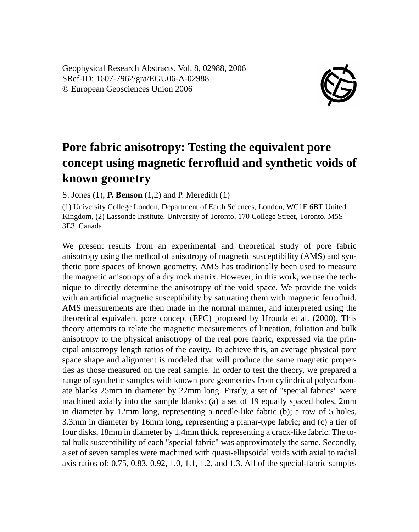Geophysical Research Abstracts, Vol. 8, 02988, 2006 SRef-ID: 1607-7962/gra/EGU06-A-02988 © European Geosciences Union 2006



## **Pore fabric anisotropy: Testing the equivalent pore concept using magnetic ferrofluid and synthetic voids of known geometry**

S. Jones (1), **P. Benson** (1,2) and P. Meredith (1)

(1) University College London, Department of Earth Sciences, London, WC1E 6BT United Kingdom, (2) Lassonde Institute, University of Toronto, 170 College Street, Toronto, M5S 3E3, Canada

We present results from an experimental and theoretical study of pore fabric anisotropy using the method of anisotropy of magnetic susceptibility (AMS) and synthetic pore spaces of known geometry. AMS has traditionally been used to measure the magnetic anisotropy of a dry rock matrix. However, in this work, we use the technique to directly determine the anisotropy of the void space. We provide the voids with an artificial magnetic susceptibility by saturating them with magnetic ferrofluid. AMS measurements are then made in the normal manner, and interpreted using the theoretical equivalent pore concept (EPC) proposed by Hrouda et al. (2000). This theory attempts to relate the magnetic measurements of lineation, foliation and bulk anisotropy to the physical anisotropy of the real pore fabric, expressed via the principal anisotropy length ratios of the cavity. To achieve this, an average physical pore space shape and alignment is modeled that will produce the same magnetic properties as those measured on the real sample. In order to test the theory, we prepared a range of synthetic samples with known pore geometries from cylindrical polycarbonate blanks 25mm in diameter by 22mm long. Firstly, a set of "special fabrics" were machined axially into the sample blanks: (a) a set of 19 equally spaced holes, 2mm in diameter by 12mm long, representing a needle-like fabric (b); a row of 5 holes, 3.3mm in diameter by 16mm long, representing a planar-type fabric; and (c) a tier of four disks, 18mm in diameter by 1.4mm thick, representing a crack-like fabric. The total bulk susceptibility of each "special fabric" was approximately the same. Secondly, a set of seven samples were machined with quasi-ellipsoidal voids with axial to radial axis ratios of: 0.75, 0.83, 0.92, 1.0, 1.1, 1.2, and 1.3. All of the special-fabric samples